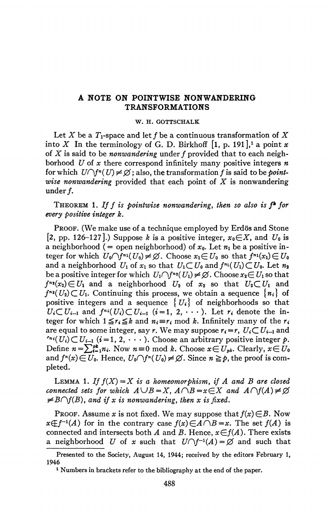## **A NOTE ON POINTWISE NONWANDERING TRANSFORMATIONS**

## **W. H. GOTTSCHALK**

Let X be a  $T_1$ -space and let f be a continuous transformation of X into X In the terminology of G. D. Birkhoff  $[1, p. 191]$ ,<sup>1</sup> a point x of *X* is said to be *nonwandering* under ƒ provided that to each neighborhood *U* of *x* there correspond infinitely many positive integers *n*  for which  $U \cap f^n(U) \neq \emptyset$ ; also, the transformation f is said to be *pointwise nonwandering* provided that each point of *X* is nonwandering under f.

THEOREM 1. If f is pointwise nonwandering, then so also is f<sup>\*</sup> for *every positive integer k.* 

PROOF. (We make use of a technique employed by Erdös and Stone [2, pp. 126-127].) Suppose *k* is a positive integer,  $x_0 \in X$ , and  $U_0$  is a neighborhood (= open neighborhood) of  $x_0$ . Let  $n_1$  be a positive integer for which  $U_0 \cap \overline{f}^{n_1}(U_0) \neq \emptyset$ . Choose  $x_1 \in U_0$  so that  $f^{n_1}(x_1) \in U_0$ and a neighborhood  $U_1$  of  $x_1$  so that  $U_1 \subset U_0$  and  $f^{n_1}(U_1) \subset U_0$ . Let  $n_2$ be a positive integer for which  $U_1 \cap f^{n_2}(U_1) \neq \emptyset$ . Choose  $x_2 \in U_1$  so that  $f^{n_2}(x_2) \in U_1$  and a neighborhood  $U_2$  of  $x_2$  so that  $U_2 \subset U_1$  and  $f^{n_2}(U_2) \subset U_1$ . Continuing this process, we obtain a sequence  $\{n_i\}$  of positive integers and a sequence  $\{U_i\}$  of neighborhoods so that  $U_i \subset U_{i-1}$  and  $f^{n_i}(U_i) \subset U_{i-1}$   $(i = 1, 2, \dots)$ . Let  $r_i$  denote the integer for which  $1 \le r_i \le k$  and  $n_i = r_i \mod k$ . Infinitely many of the  $r_i$ are equal to some integer, say r. We may suppose  $r_i = r$ ,  $U_i \subset U_{i-1}$  and  $C^{n_i}(U_i) \subset U_{i-1}$  ( $i = 1, 2, \cdots$ ). Choose an arbitrary positive integer  $p$ . Define  $n = \sum_{i=1}^{pt} n_i$ . Now  $n \equiv 0 \mod k$ . Choose  $x \in U_{pk}$ . Clearly,  $x \in U_0$ and  $f^{n}(x) \in U_{0}$ . Hence,  $U_{0} \cap f^{n}(U_{0}) \neq \emptyset$ . Since  $n \geq p$ , the proof is completed.

LEMMA 1. If  $f(X) = X$  is a homeomorphism, if A and B are closed *connected sets for which*  $A \cup B=X$ ,  $A \cap B=x\in X$  and  $A \cap f(A) \neq \emptyset$  $\neq$  *B* $\cap$ *f*(*B*)*,* and if x is nonwandering, then x is fixed.

PROOF. Assume *x* is not fixed. We may suppose that  $f(x) \in B$ . Now  $x \notin f^{-1}(A)$  for in the contrary case  $f(x) \in A \cap B = x$ . The set  $f(A)$  is connected and intersects both A and B. Hence,  $x \in f(A)$ . There exists a neighborhood U of x such that  $U \cap f^{-1}(A) = \emptyset$  and such that

Presented to the Society, August 14, 1944; received by the editors February 1, 1946

<sup>&</sup>lt;sup>1</sup> Numbers in brackets refer to the bibliography at the end of the paper.